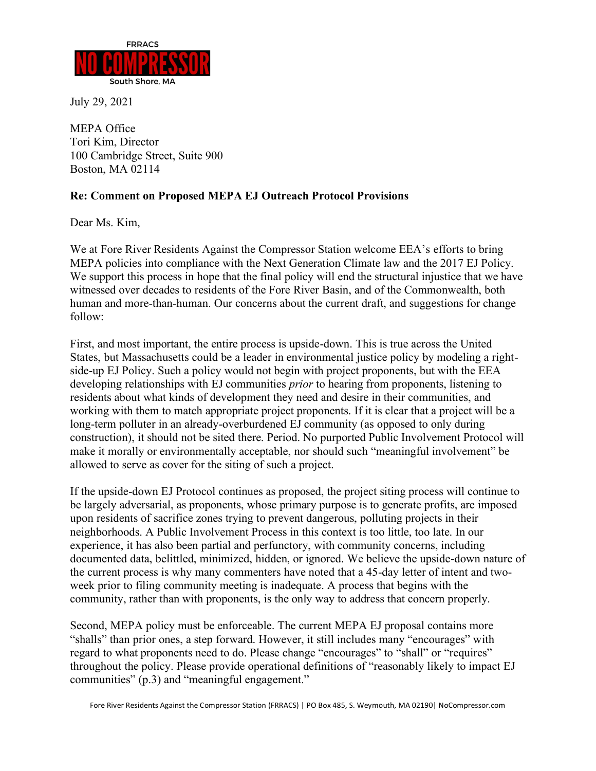

July 29, 2021

MEPA Office Tori Kim, Director 100 Cambridge Street, Suite 900 Boston, MA 02114

## **Re: Comment on Proposed MEPA EJ Outreach Protocol Provisions**

Dear Ms. Kim,

We at Fore River Residents Against the Compressor Station welcome EEA's efforts to bring MEPA policies into compliance with the Next Generation Climate law and the 2017 EJ Policy. We support this process in hope that the final policy will end the structural injustice that we have witnessed over decades to residents of the Fore River Basin, and of the Commonwealth, both human and more-than-human. Our concerns about the current draft, and suggestions for change follow:

First, and most important, the entire process is upside-down. This is true across the United States, but Massachusetts could be a leader in environmental justice policy by modeling a rightside-up EJ Policy. Such a policy would not begin with project proponents, but with the EEA developing relationships with EJ communities *prior* to hearing from proponents, listening to residents about what kinds of development they need and desire in their communities, and working with them to match appropriate project proponents. If it is clear that a project will be a long-term polluter in an already-overburdened EJ community (as opposed to only during construction), it should not be sited there. Period. No purported Public Involvement Protocol will make it morally or environmentally acceptable, nor should such "meaningful involvement" be allowed to serve as cover for the siting of such a project.

If the upside-down EJ Protocol continues as proposed, the project siting process will continue to be largely adversarial, as proponents, whose primary purpose is to generate profits, are imposed upon residents of sacrifice zones trying to prevent dangerous, polluting projects in their neighborhoods. A Public Involvement Process in this context is too little, too late. In our experience, it has also been partial and perfunctory, with community concerns, including documented data, belittled, minimized, hidden, or ignored. We believe the upside-down nature of the current process is why many commenters have noted that a 45-day letter of intent and twoweek prior to filing community meeting is inadequate. A process that begins with the community, rather than with proponents, is the only way to address that concern properly.

Second, MEPA policy must be enforceable. The current MEPA EJ proposal contains more "shalls" than prior ones, a step forward. However, it still includes many "encourages" with regard to what proponents need to do. Please change "encourages" to "shall" or "requires" throughout the policy. Please provide operational definitions of "reasonably likely to impact EJ communities" (p.3) and "meaningful engagement."